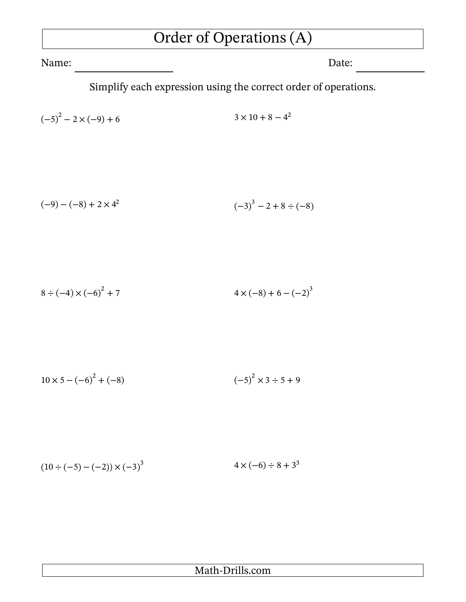## Order of Operations (A)

Name: Date:

Simplify each expression using the correct order of operations.

$$
(-5)^2 - 2 \times (-9) + 6 \qquad \qquad 3 \times 10 + 8 - 4^2
$$

$$
(-9) - (-8) + 2 \times 4^2
$$
\n
$$
(-3)^3 - 2 + 8 \div (-8)
$$

$$
8 \div (-4) \times (-6)^2 + 7 \qquad \qquad 4 \times (-8) + 6 - (-2)^3
$$

$$
10 \times 5 - (-6)^2 + (-8) \tag{–5}^2 \times 3 \div 5 + 9
$$

$$
(10 \div (-5) - (-2)) \times (-3)^3 \qquad \qquad 4 \times (-6) \div 8 + 3^3
$$